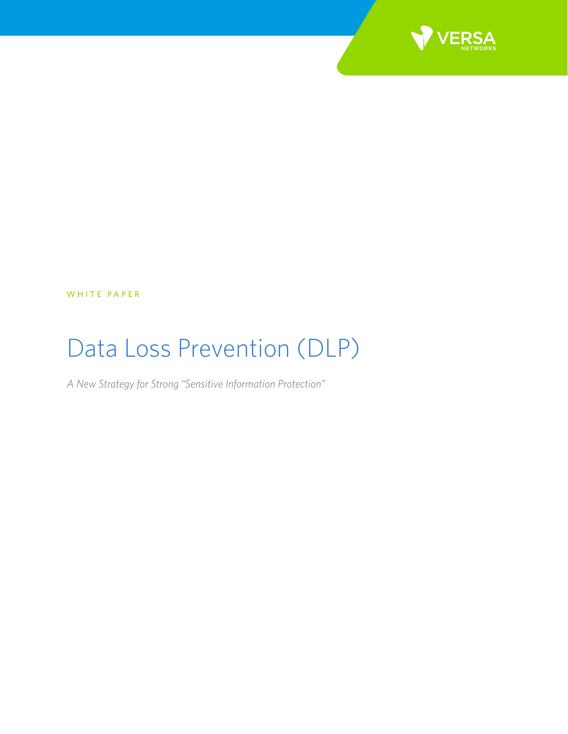

WHITE PAPER

# Data Loss Prevention (DLP)

*A New Strategy for Strong "Sensitive Information Protection"*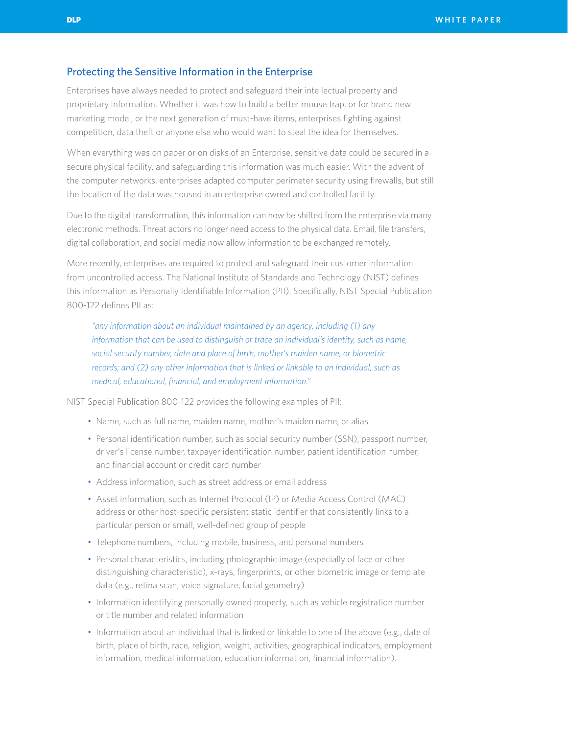### Protecting the Sensitive Information in the Enterprise

Enterprises have always needed to protect and safeguard their intellectual property and proprietary information. Whether it was how to build a better mouse trap, or for brand new marketing model, or the next generation of must-have items, enterprises fighting against competition, data theft or anyone else who would want to steal the idea for themselves.

When everything was on paper or on disks of an Enterprise, sensitive data could be secured in a secure physical facility, and safeguarding this information was much easier. With the advent of the computer networks, enterprises adapted computer perimeter security using firewalls, but still the location of the data was housed in an enterprise owned and controlled facility.

Due to the digital transformation, this information can now be shifted from the enterprise via many electronic methods. Threat actors no longer need access to the physical data. Email, file transfers, digital collaboration, and social media now allow information to be exchanged remotely.

More recently, enterprises are required to protect and safeguard their customer information from uncontrolled access. The National Institute of Standards and Technology (NIST) defines this information as Personally Identifiable Information (PII). Specifically, NIST Special Publication 800-122 defines PII as:

*"any information about an individual maintained by an agency, including (1) any information that can be used to distinguish or trace an individual's identity, such as name, social security number, date and place of birth, mother's maiden name, or biometric records; and (2) any other information that is linked or linkable to an individual, such as medical, educational, financial, and employment information."*

NIST Special Publication 800-122 provides the following examples of PII:

- Name, such as full name, maiden name, mother's maiden name, or alias
- Personal identification number, such as social security number (SSN), passport number, driver's license number, taxpayer identification number, patient identification number, and financial account or credit card number
- Address information, such as street address or email address
- Asset information, such as Internet Protocol (IP) or Media Access Control (MAC) address or other host-specific persistent static identifier that consistently links to a particular person or small, well-defined group of people
- Telephone numbers, including mobile, business, and personal numbers
- Personal characteristics, including photographic image (especially of face or other distinguishing characteristic), x-rays, fingerprints, or other biometric image or template data (e.g., retina scan, voice signature, facial geometry)
- Information identifying personally owned property, such as vehicle registration number or title number and related information
- Information about an individual that is linked or linkable to one of the above (e.g., date of birth, place of birth, race, religion, weight, activities, geographical indicators, employment information, medical information, education information, financial information).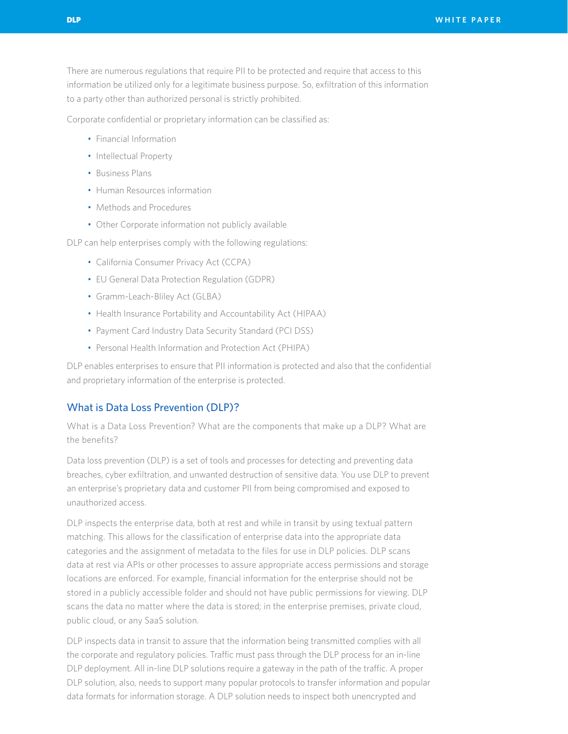There are numerous regulations that require PII to be protected and require that access to this information be utilized only for a legitimate business purpose. So, exfiltration of this information to a party other than authorized personal is strictly prohibited.

Corporate confidential or proprietary information can be classified as:

- Financial Information
- Intellectual Property
- Business Plans
- Human Resources information
- Methods and Procedures
- Other Corporate information not publicly available

DLP can help enterprises comply with the following regulations:

- California Consumer Privacy Act (CCPA)
- EU General Data Protection Regulation (GDPR)
- Gramm-Leach-Bliley Act (GLBA)
- Health Insurance Portability and Accountability Act (HIPAA)
- Payment Card Industry Data Security Standard (PCI DSS)
- Personal Health Information and Protection Act (PHIPA)

DLP enables enterprises to ensure that PII information is protected and also that the confidential and proprietary information of the enterprise is protected.

## What is Data Loss Prevention (DLP)?

What is a Data Loss Prevention? What are the components that make up a DLP? What are the benefits?

Data loss prevention (DLP) is a set of tools and processes for detecting and preventing data breaches, cyber exfiltration, and unwanted destruction of sensitive data. You use DLP to prevent an enterprise's proprietary data and customer PII from being compromised and exposed to unauthorized access.

DLP inspects the enterprise data, both at rest and while in transit by using textual pattern matching. This allows for the classification of enterprise data into the appropriate data categories and the assignment of metadata to the files for use in DLP policies. DLP scans data at rest via APIs or other processes to assure appropriate access permissions and storage locations are enforced. For example, financial information for the enterprise should not be stored in a publicly accessible folder and should not have public permissions for viewing. DLP scans the data no matter where the data is stored; in the enterprise premises, private cloud, public cloud, or any SaaS solution.

DLP inspects data in transit to assure that the information being transmitted complies with all the corporate and regulatory policies. Traffic must pass through the DLP process for an in-line DLP deployment. All in-line DLP solutions require a gateway in the path of the traffic. A proper DLP solution, also, needs to support many popular protocols to transfer information and popular data formats for information storage. A DLP solution needs to inspect both unencrypted and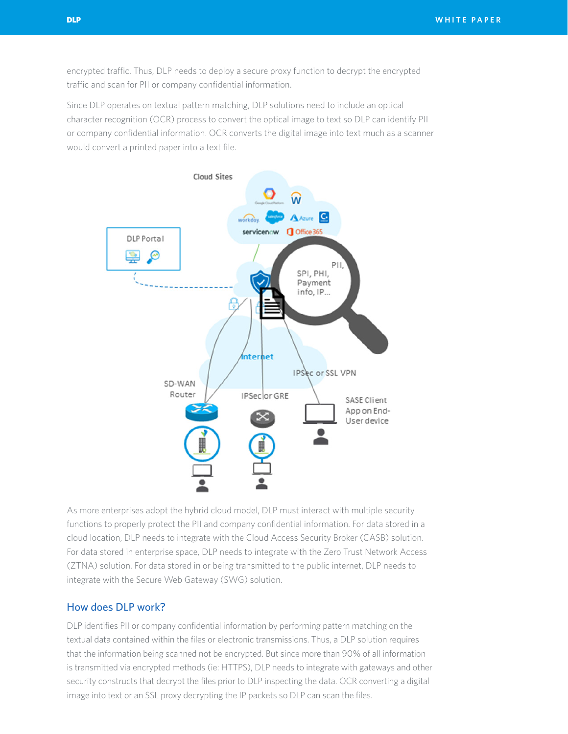encrypted traffic. Thus, DLP needs to deploy a secure proxy function to decrypt the encrypted traffic and scan for PII or company confidential information.

Since DLP operates on textual pattern matching, DLP solutions need to include an optical character recognition (OCR) process to convert the optical image to text so DLP can identify PII or company confidential information. OCR converts the digital image into text much as a scanner would convert a printed paper into a text file.



As more enterprises adopt the hybrid cloud model, DLP must interact with multiple security functions to properly protect the PII and company confidential information. For data stored in a cloud location, DLP needs to integrate with the Cloud Access Security Broker (CASB) solution. For data stored in enterprise space, DLP needs to integrate with the Zero Trust Network Access (ZTNA) solution. For data stored in or being transmitted to the public internet, DLP needs to integrate with the Secure Web Gateway (SWG) solution.

## How does DLP work?

DLP identifies PII or company confidential information by performing pattern matching on the textual data contained within the files or electronic transmissions. Thus, a DLP solution requires that the information being scanned not be encrypted. But since more than 90% of all information is transmitted via encrypted methods (ie: HTTPS), DLP needs to integrate with gateways and other security constructs that decrypt the files prior to DLP inspecting the data. OCR converting a digital image into text or an SSL proxy decrypting the IP packets so DLP can scan the files.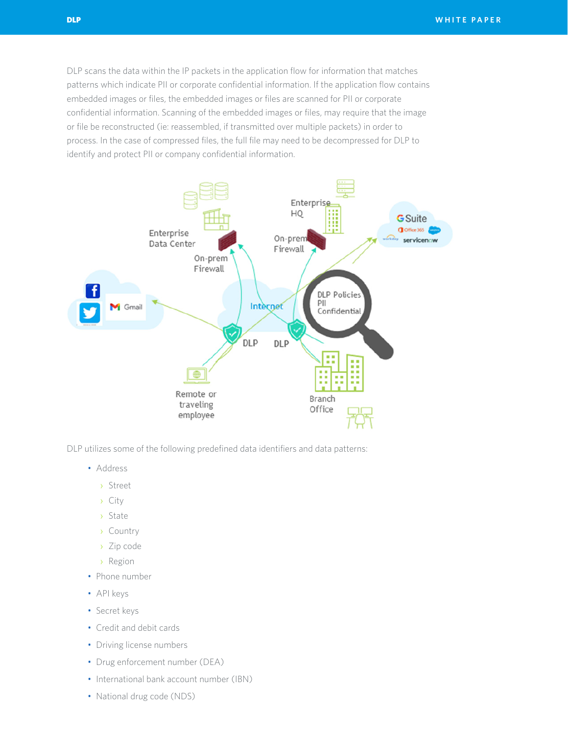DLP scans the data within the IP packets in the application flow for information that matches patterns which indicate PII or corporate confidential information. If the application flow contains embedded images or files, the embedded images or files are scanned for PII or corporate confidential information. Scanning of the embedded images or files, may require that the image or file be reconstructed (ie: reassembled, if transmitted over multiple packets) in order to process. In the case of compressed files, the full file may need to be decompressed for DLP to identify and protect PII or company confidential information.



DLP utilizes some of the following predefined data identifiers and data patterns:

- Address
	- › Street
	- › City
	- › State
	- › Country
	- › Zip code
	- › Region
- Phone number
- API keys
- Secret keys
- Credit and debit cards
- Driving license numbers
- Drug enforcement number (DEA)
- International bank account number (IBN)
- National drug code (NDS)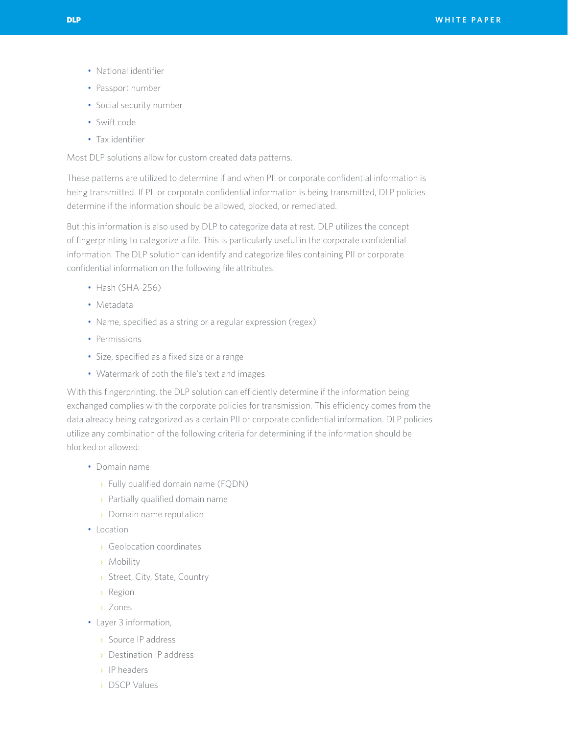- National identifier
- Passport number
- Social security number
- Swift code
- Tax identifier

Most DLP solutions allow for custom created data patterns.

These patterns are utilized to determine if and when PII or corporate confidential information is being transmitted. If PII or corporate confidential information is being transmitted, DLP policies determine if the information should be allowed, blocked, or remediated.

But this information is also used by DLP to categorize data at rest. DLP utilizes the concept of fingerprinting to categorize a file. This is particularly useful in the corporate confidential information. The DLP solution can identify and categorize files containing PII or corporate confidential information on the following file attributes:

- Hash (SHA-256)
- Metadata
- Name, specified as a string or a regular expression (regex)
- Permissions
- Size, specified as a fixed size or a range
- Watermark of both the file's text and images

With this fingerprinting, the DLP solution can efficiently determine if the information being exchanged complies with the corporate policies for transmission. This efficiency comes from the data already being categorized as a certain PII or corporate confidential information. DLP policies utilize any combination of the following criteria for determining if the information should be blocked or allowed:

- Domain name
	- › Fully qualified domain name (FQDN)
	- › Partially qualified domain name
	- › Domain name reputation
- Location
	- › Geolocation coordinates
	- › Mobility
	- › Street, City, State, Country
	- › Region
	- › Zones
- Layer 3 information,
	- › Source IP address
	- › Destination IP address
	- › IP headers
	- › DSCP Values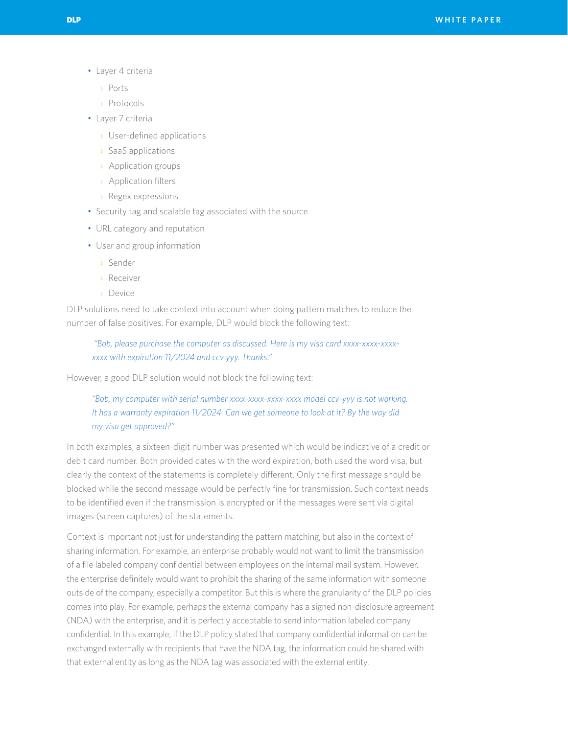- Layer 4 criteria
	- › Ports
	- › Protocols
- Layer 7 criteria
	- › User-defined applications
	- › SaaS applications
	- › Application groups
	- › Application filters
	- › Regex expressions
- Security tag and scalable tag associated with the source
- URL category and reputation
- User and group information
	- › Sender
	- › Receiver
	- › Device

DLP solutions need to take context into account when doing pattern matches to reduce the number of false positives. For example, DLP would block the following text:

 *"Bob, please purchase the computer as discussed. Here is my visa card xxxx-xxxx-xxxxxxxx with expiration 11/2024 and ccv yyy. Thanks."* 

However, a good DLP solution would not block the following text:

# *"Bob, my computer with serial number xxxx-xxxx-xxxx-xxxx model ccv-yyy is not working. It has a warranty expiration 11/2024. Can we get someone to look at it? By the way did my visa get approved?"*

In both examples, a sixteen-digit number was presented which would be indicative of a credit or debit card number. Both provided dates with the word expiration, both used the word visa, but clearly the context of the statements is completely different. Only the first message should be blocked while the second message would be perfectly fine for transmission. Such context needs to be identified even if the transmission is encrypted or if the messages were sent via digital images (screen captures) of the statements.

Context is important not just for understanding the pattern matching, but also in the context of sharing information. For example, an enterprise probably would not want to limit the transmission of a file labeled company confidential between employees on the internal mail system. However, the enterprise definitely would want to prohibit the sharing of the same information with someone outside of the company, especially a competitor. But this is where the granularity of the DLP policies comes into play. For example, perhaps the external company has a signed non-disclosure agreement (NDA) with the enterprise, and it is perfectly acceptable to send information labeled company confidential. In this example, if the DLP policy stated that company confidential information can be exchanged externally with recipients that have the NDA tag, the information could be shared with that external entity as long as the NDA tag was associated with the external entity.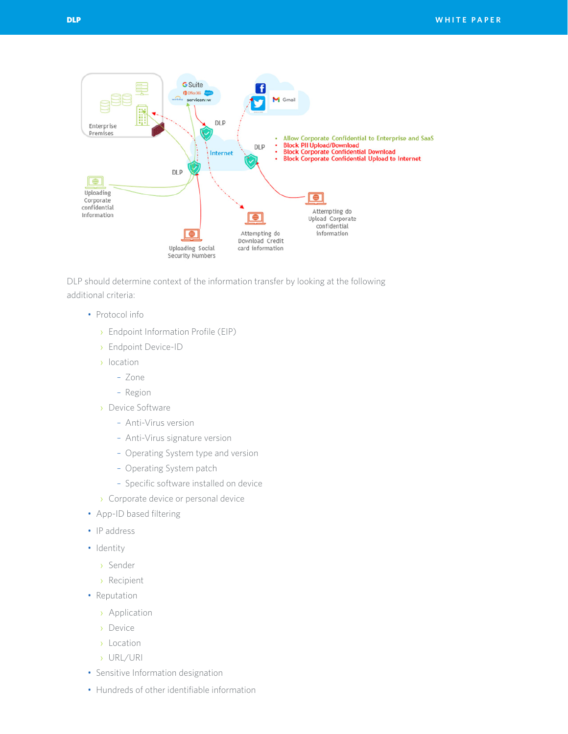

DLP should determine context of the information transfer by looking at the following additional criteria:

- Protocol info
	- › Endpoint Information Profile (EIP)
	- › Endpoint Device-ID
	- › location
		- Zone
		- Region
	- › Device Software
		- Anti-Virus version
		- Anti-Virus signature version
		- Operating System type and version
		- Operating System patch
		- Specific software installed on device
	- › Corporate device or personal device
- App-ID based filtering
- IP address
- Identity
	- › Sender
	- › Recipient
- Reputation
	- › Application
	- › Device
	- › Location
	- › URL/URI
- Sensitive Information designation
- Hundreds of other identifiable information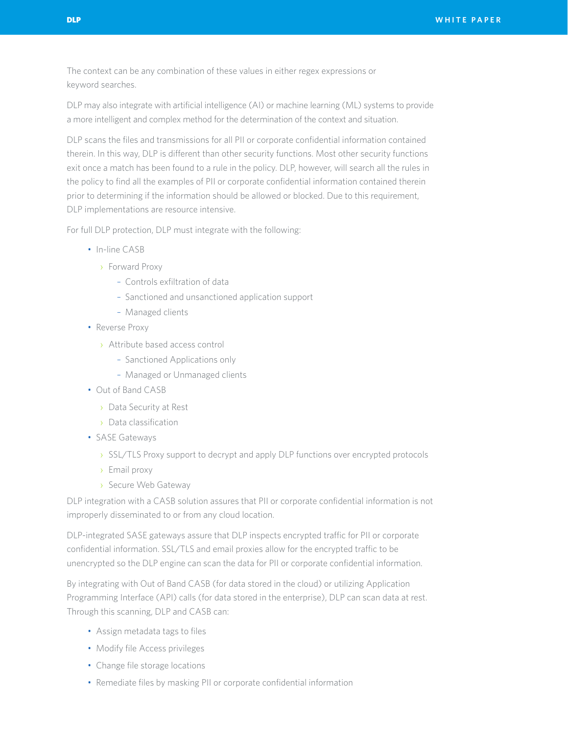The context can be any combination of these values in either regex expressions or keyword searches.

DLP may also integrate with artificial intelligence (AI) or machine learning (ML) systems to provide a more intelligent and complex method for the determination of the context and situation.

DLP scans the files and transmissions for all PII or corporate confidential information contained therein. In this way, DLP is different than other security functions. Most other security functions exit once a match has been found to a rule in the policy. DLP, however, will search all the rules in the policy to find all the examples of PII or corporate confidential information contained therein prior to determining if the information should be allowed or blocked. Due to this requirement, DLP implementations are resource intensive.

For full DLP protection, DLP must integrate with the following:

- In-line CASB
	- › Forward Proxy
		- Controls exfiltration of data
		- Sanctioned and unsanctioned application support
		- Managed clients
- Reverse Proxy
	- › Attribute based access control
		- Sanctioned Applications only
		- Managed or Unmanaged clients
- Out of Band CASB
	- › Data Security at Rest
	- › Data classification
- SASE Gateways
	- › SSL/TLS Proxy support to decrypt and apply DLP functions over encrypted protocols
	- › Email proxy
	- › Secure Web Gateway

DLP integration with a CASB solution assures that PII or corporate confidential information is not improperly disseminated to or from any cloud location.

DLP-integrated SASE gateways assure that DLP inspects encrypted traffic for PII or corporate confidential information. SSL/TLS and email proxies allow for the encrypted traffic to be unencrypted so the DLP engine can scan the data for PII or corporate confidential information.

By integrating with Out of Band CASB (for data stored in the cloud) or utilizing Application Programming Interface (API) calls (for data stored in the enterprise), DLP can scan data at rest. Through this scanning, DLP and CASB can:

- Assign metadata tags to files
- Modify file Access privileges
- Change file storage locations
- Remediate files by masking PII or corporate confidential information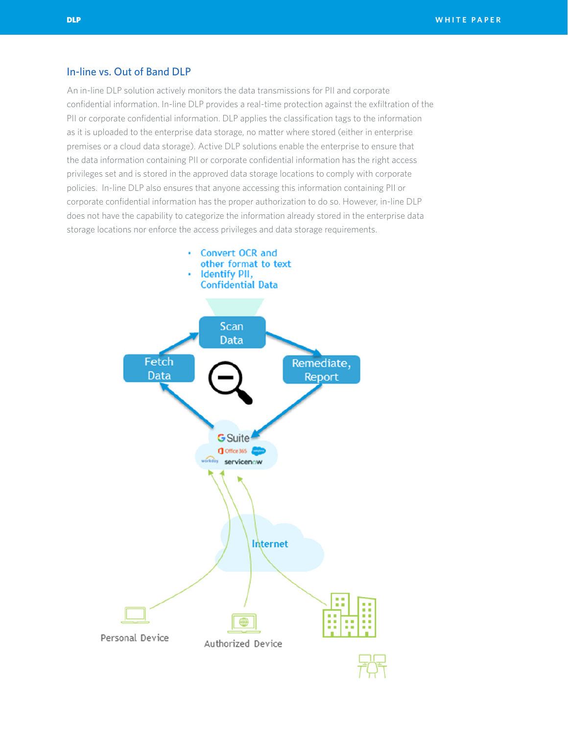## In-line vs. Out of Band DLP

An in-line DLP solution actively monitors the data transmissions for PII and corporate confidential information. In-line DLP provides a real-time protection against the exfiltration of the PII or corporate confidential information. DLP applies the classification tags to the information as it is uploaded to the enterprise data storage, no matter where stored (either in enterprise premises or a cloud data storage). Active DLP solutions enable the enterprise to ensure that the data information containing PII or corporate confidential information has the right access privileges set and is stored in the approved data storage locations to comply with corporate policies. In-line DLP also ensures that anyone accessing this information containing PII or corporate confidential information has the proper authorization to do so. However, in-line DLP does not have the capability to categorize the information already stored in the enterprise data storage locations nor enforce the access privileges and data storage requirements.

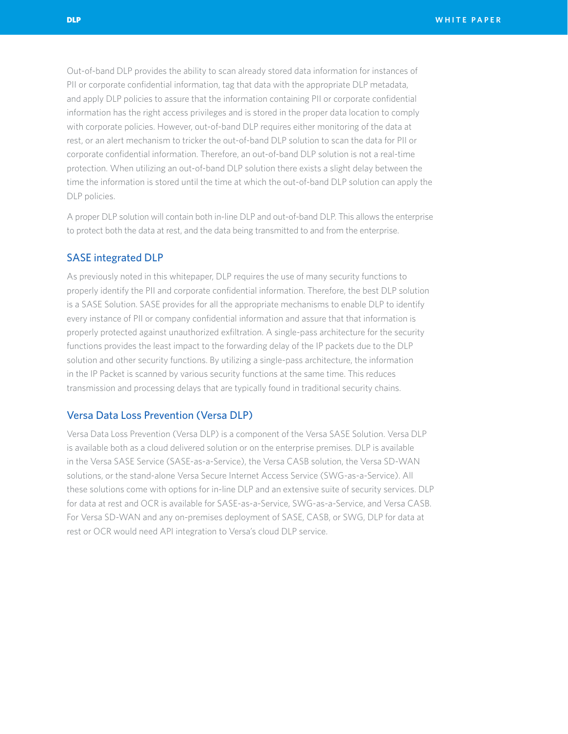Out-of-band DLP provides the ability to scan already stored data information for instances of PII or corporate confidential information, tag that data with the appropriate DLP metadata, and apply DLP policies to assure that the information containing PII or corporate confidential information has the right access privileges and is stored in the proper data location to comply with corporate policies. However, out-of-band DLP requires either monitoring of the data at rest, or an alert mechanism to tricker the out-of-band DLP solution to scan the data for PII or corporate confidential information. Therefore, an out-of-band DLP solution is not a real-time protection. When utilizing an out-of-band DLP solution there exists a slight delay between the time the information is stored until the time at which the out-of-band DLP solution can apply the DLP policies.

A proper DLP solution will contain both in-line DLP and out-of-band DLP. This allows the enterprise to protect both the data at rest, and the data being transmitted to and from the enterprise.

### SASE integrated DLP

As previously noted in this whitepaper, DLP requires the use of many security functions to properly identify the PII and corporate confidential information. Therefore, the best DLP solution is a SASE Solution. SASE provides for all the appropriate mechanisms to enable DLP to identify every instance of PII or company confidential information and assure that that information is properly protected against unauthorized exfiltration. A single-pass architecture for the security functions provides the least impact to the forwarding delay of the IP packets due to the DLP solution and other security functions. By utilizing a single-pass architecture, the information in the IP Packet is scanned by various security functions at the same time. This reduces transmission and processing delays that are typically found in traditional security chains.

## Versa Data Loss Prevention (Versa DLP)

Versa Data Loss Prevention (Versa DLP) is a component of the Versa SASE Solution. Versa DLP is available both as a cloud delivered solution or on the enterprise premises. DLP is available in the Versa SASE Service (SASE-as-a-Service), the Versa CASB solution, the Versa SD-WAN solutions, or the stand-alone Versa Secure Internet Access Service (SWG-as-a-Service). All these solutions come with options for in-line DLP and an extensive suite of security services. DLP for data at rest and OCR is available for SASE-as-a-Service, SWG-as-a-Service, and Versa CASB. For Versa SD-WAN and any on-premises deployment of SASE, CASB, or SWG, DLP for data at rest or OCR would need API integration to Versa's cloud DLP service.